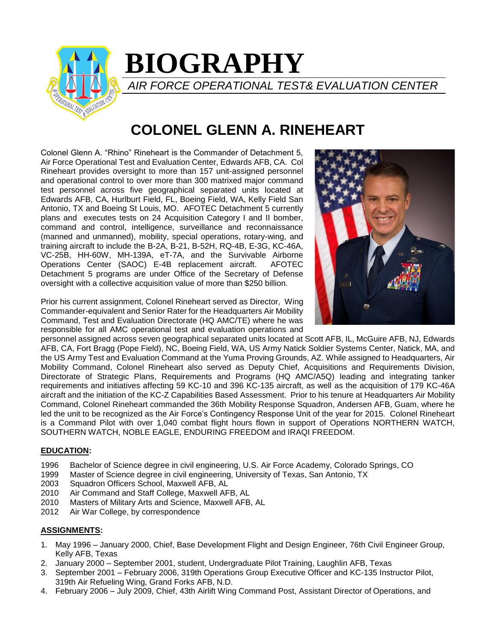

# **BIOGRAPHY**

*AIR FORCE OPERATIONAL TEST& EVALUATION CENTER*

# **COLONEL GLENN A. RINEHEART**

Colonel Glenn A. "Rhino" Rineheart is the Commander of Detachment 5, Air Force Operational Test and Evaluation Center, Edwards AFB, CA. Col Rineheart provides oversight to more than 157 unit-assigned personnel and operational control to over more than 300 matrixed major command test personnel across five geographical separated units located at Edwards AFB, CA, Hurlburt Field, FL, Boeing Field, WA, Kelly Field San Antonio, TX and Boeing St Louis, MO. AFOTEC Detachment 5 currently plans and executes tests on 24 Acquisition Category I and II bomber, command and control, intelligence, surveillance and reconnaissance (manned and unmanned), mobility, special operations, rotary-wing, and training aircraft to include the B-2A, B-21, B-52H, RQ-4B, E-3G, KC-46A, VC-25B, HH-60W, MH-139A, eT-7A, and the Survivable Airborne Operations Center (SAOC) E-4B replacement aircraft. AFOTEC Detachment 5 programs are under Office of the Secretary of Defense oversight with a collective acquisition value of more than \$250 billion.

Prior his current assignment, Colonel Rineheart served as Director, Wing Commander-equivalent and Senior Rater for the Headquarters Air Mobility Command, Test and Evaluation Directorate (HQ AMC/TE) where he was responsible for all AMC operational test and evaluation operations and



personnel assigned across seven geographical separated units located at Scott AFB, IL, McGuire AFB, NJ, Edwards AFB, CA, Fort Bragg (Pope Field), NC, Boeing Field, WA, US Army Natick Soldier Systems Center, Natick, MA, and the US Army Test and Evaluation Command at the Yuma Proving Grounds, AZ. While assigned to Headquarters, Air Mobility Command, Colonel Rineheart also served as Deputy Chief, Acquisitions and Requirements Division, Directorate of Strategic Plans, Requirements and Programs (HQ AMC/A5Q) leading and integrating tanker requirements and initiatives affecting 59 KC-10 and 396 KC-135 aircraft, as well as the acquisition of 179 KC-46A aircraft and the initiation of the KC-Z Capabilities Based Assessment. Prior to his tenure at Headquarters Air Mobility Command, Colonel Rineheart commanded the 36th Mobility Response Squadron, Andersen AFB, Guam, where he led the unit to be recognized as the Air Force's Contingency Response Unit of the year for 2015. Colonel Rineheart is a Command Pilot with over 1,040 combat flight hours flown in support of Operations NORTHERN WATCH, SOUTHERN WATCH, NOBLE EAGLE, ENDURING FREEDOM and IRAQI FREEDOM.

# **EDUCATION:**

- 1996 Bachelor of Science degree in civil engineering, U.S. Air Force Academy, Colorado Springs, CO
- 1999 Master of Science degree in civil engineering, University of Texas, San Antonio, TX
- 2003 Squadron Officers School, Maxwell AFB, AL
- 2010 Air Command and Staff College, Maxwell AFB, AL
- 2010 Masters of Military Arts and Science, Maxwell AFB, AL
- 2012 Air War College, by correspondence

# **ASSIGNMENTS:**

- 1. May 1996 January 2000, Chief, Base Development Flight and Design Engineer, 76th Civil Engineer Group, Kelly AFB, Texas
- 2. January 2000 September 2001, student, Undergraduate Pilot Training, Laughlin AFB, Texas
- 3. September 2001 February 2006, 319th Operations Group Executive Officer and KC-135 Instructor Pilot, 319th Air Refueling Wing, Grand Forks AFB, N.D.
- 4. February 2006 July 2009, Chief, 43th Airlift Wing Command Post, Assistant Director of Operations, and